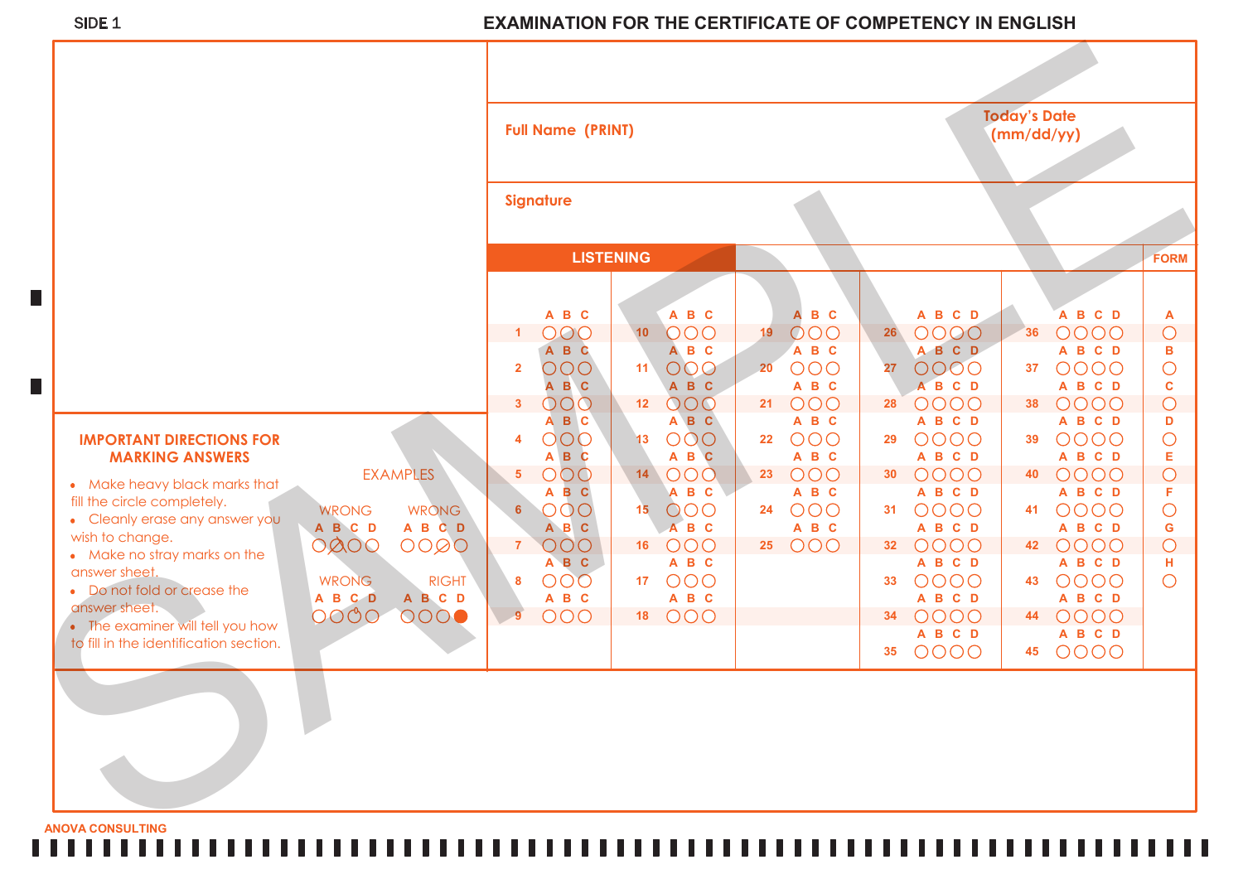## SIDE 1 **EXAMINATION FOR THE CERTIFICATE OF COMPETENCY IN ENGLISH**

|                                                               |                                                    | <b>Full Name (PRINT)</b> |                       |                  |                       | <b>Today's Date</b><br>(mm/dd/yy) |                       |                 |                            |    |                            |                              |
|---------------------------------------------------------------|----------------------------------------------------|--------------------------|-----------------------|------------------|-----------------------|-----------------------------------|-----------------------|-----------------|----------------------------|----|----------------------------|------------------------------|
|                                                               |                                                    | <b>Signature</b>         |                       |                  |                       |                                   |                       |                 |                            |    |                            |                              |
|                                                               |                                                    |                          |                       | <b>LISTENING</b> |                       |                                   |                       |                 |                            |    |                            | FORM                         |
| П                                                             |                                                    |                          |                       |                  |                       |                                   |                       |                 |                            |    |                            |                              |
|                                                               |                                                    | $\mathbf{1}$             | A B C<br>000          | 10 <sup>°</sup>  | A B C<br>OOO          | 19                                | B C<br>A<br>000       | 26 <sub>2</sub> | A B C D<br>0000            | 36 | A B C D<br>0000            | $\overline{A}$<br>$\bigcirc$ |
|                                                               |                                                    |                          | A B C                 |                  | A B C                 |                                   | A B C                 |                 | A B C D                    |    | A B C D                    | в                            |
| П                                                             |                                                    | $\overline{2}$           | OOO<br>A B C          | 11 <sup>2</sup>  | 000<br>A B C          | 20                                | OOO<br>A B C          | 27              | 0000<br>A B C D            | 37 | 0000<br>A B C D            | $\bigcirc$<br>$\mathbf{C}$   |
|                                                               |                                                    | 3 <sup>7</sup>           | 000                   | 12 <sub>2</sub>  | OOO                   | 21                                | 000                   | 28              | 0000                       | 38 | 0000                       | $\circ$                      |
| <b>IMPORTANT DIRECTIONS FOR</b><br><b>MARKING ANSWERS</b>     |                                                    | 4                        | A B C<br>OOO<br>A B C | 13               | A B C<br>OOO<br>A B C | 22                                | A B C<br>OOO<br>A B C | 29              | A B C D<br>0000<br>A B C D | 39 | A B C D<br>0000<br>A B C D | D<br>$\bigcirc$<br>Е         |
| • Make heavy black marks that                                 | <b>EXAMPLES</b>                                    | 5 <sub>5</sub>           | OOO<br>A B C          | 14               | OOO<br>A B C          | 23                                | 000<br>A B C          | 30 <sub>2</sub> | 0000<br>A B C D            | 40 | 0000<br>A B C D            | $\circ$<br>F                 |
| fill the circle completely.<br>• Cleanly erase any answer you | <b>WRONG</b><br><b>WRONG</b>                       | 6                        | OOO                   | 15 <sup>2</sup>  | OOO                   | 24                                | 000                   | 31              | 0000                       | 41 | 0000                       | $\bigcirc$                   |
| wish to change.                                               | A B C D<br>A B C D<br>OQOO<br>0000                 | $\overline{7}$           | A B C<br>OOO          | 16               | A B C<br>OOO          | 25                                | A B C<br>OOO          | 32              | A B C D<br>0000            | 42 | A B C D<br>0000            | ${\mathbf G}$<br>$\circ$     |
| • Make no stray marks on the<br>answer sheet.                 |                                                    |                          | A B C                 |                  | A B C                 |                                   |                       |                 | A B C D                    |    | A B C D                    | Н                            |
| • Do not fold or crease the                                   | <b>WRONG</b><br><b>RIGHT</b><br>A B C D<br>A B C D | 8                        | OOO<br>A B C          | 17 <sub>1</sub>  | OOO<br>A B C          |                                   |                       | 33              | 0000<br>A B C D            | 43 | 0000<br>A B C D            | $\bigcirc$                   |
| answer sheet.<br>• The examiner will tell you how             | 0000<br>$\circ$                                    | $\overline{\phantom{0}}$ | OOO                   | 18               | OOO                   |                                   |                       | 34              | 0000                       | 44 | 0000                       |                              |
| to fill in the identification section.                        |                                                    |                          |                       |                  |                       |                                   |                       | 35              | A B C D<br>0000            | 45 | A B C D<br>0000            |                              |
|                                                               |                                                    |                          |                       |                  |                       |                                   |                       |                 |                            |    |                            |                              |

**ANOVA CONSULTING**